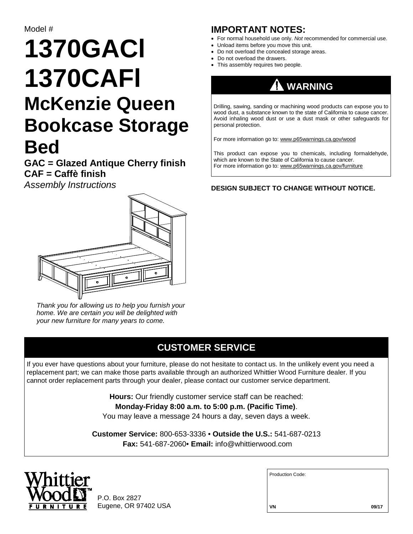# **1370GACl 1370CAFl McKenzie Queen Bookcase Storage Bed**

**GAC = Glazed Antique Cherry finish CAF = Caffè finish**

*Assembly Instructions*



*Thank you for allowing us to help you furnish your home. We are certain you will be delighted with your new furniture for many years to come.*

#### **CUSTOMER SERVICE**

If you ever have questions about your furniture, please do not hesitate to contact us. In the unlikely event you need a replacement part; we can make those parts available through an authorized Whittier Wood Furniture dealer. If you cannot order replacement parts through your dealer, please contact our customer service department.

> **Hours:** Our friendly customer service staff can be reached: **Monday-Friday 8:00 a.m. to 5:00 p.m. (Pacific Time)**. You may leave a message 24 hours a day, seven days a week.

**Customer Service:** 800-653-3336 • **Outside the U.S.:** 541-687-0213 **Fax:** 541-687-2060• **Email:** info@whittierwood.com



P.O. Box 2827 Eugene, OR 97402 USA

#### **IMPORTANT NOTES:**

- For normal household use only. *Not* recommended for commercial use.
- Unload items before you move this unit.
- Do not overload the concealed storage areas.
- Do not overload the drawers.
- This assembly requires two people.



Drilling, sawing, sanding or machining wood products can expose you to wood dust, a substance known to the state of California to cause cancer. Avoid inhaling wood dust or use a dust mask or other safeguards for personal protection.

For more information go to: www.p65warnings.ca.gov/wood

This product can expose you to chemicals, including formaldehyde, which are known to the State of California to cause cancer. For more information go to: www.p65warnings.ca.gov/furniture

**DESIGN SUBJECT TO CHANGE WITHOUT NOTICE.**

Production Code: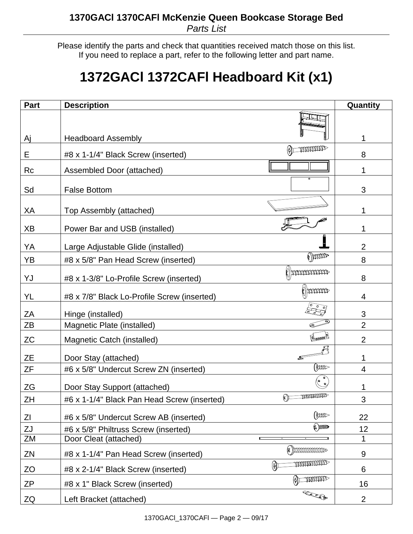Please identify the parts and check that quantities received match those on this list. If you need to replace a part, refer to the following letter and part name.

## **1372GACl 1372CAFl Headboard Kit (x1)**

| Part      | <b>Description</b>                                                       |                  | Quantity       |
|-----------|--------------------------------------------------------------------------|------------------|----------------|
|           |                                                                          |                  |                |
| Aj        | <b>Headboard Assembly</b><br>mommo                                       |                  | 1              |
| Е         | #8 x 1-1/4" Black Screw (inserted)                                       |                  | 8              |
| Rc        | Assembled Door (attached)                                                |                  |                |
| Sd        | <b>False Bottom</b>                                                      |                  | 3              |
| XA        | Top Assembly (attached)                                                  |                  |                |
| XB        | Power Bar and USB (installed)                                            |                  |                |
| YA        | Large Adjustable Glide (installed)                                       |                  | $\overline{2}$ |
| <b>YB</b> | #8 x 5/8" Pan Head Screw (inserted)                                      | (amm             | 8              |
| YJ        | <b>Demmune</b><br>#8 x 1-3/8" Lo-Profile Screw (inserted)                |                  | 8              |
| YL        | #8 x 7/8" Black Lo-Profile Screw (inserted)                              | <b>Dunne</b>     | 4              |
| ZA        | Hinge (installed)                                                        |                  | 3              |
| ZB        | Magnetic Plate (installed)                                               |                  | $\overline{2}$ |
| <b>ZC</b> | Magnetic Catch (installed)                                               |                  | $\overline{2}$ |
| <b>ZE</b> | Door Stay (attached)                                                     |                  |                |
| ΖF        | #6 x 5/8" Undercut Screw ZN (inserted)                                   | (tuu-            | 4              |
| <b>ZG</b> | Door Stay Support (attached)                                             | (° °)            |                |
| ZΗ        | <b>Community</b><br>ନ<br>#6 x 1-1/4" Black Pan Head Screw (inserted)     |                  | 3              |
| ΖI        | #6 x 5/8" Undercut Screw AB (inserted)                                   | <b>Court</b>     | 22             |
| ZJ        | #6 x 5/8" Philtruss Screw (inserted)                                     | <b>(2) DIDD-</b> | 12             |
| ZM        | Door Cleat (attached)                                                    |                  | 1              |
| ZN        | <b>* DEEDEDEDEDEDED</b><br>#8 x 1-1/4" Pan Head Screw (inserted)         |                  | 9              |
| ZO        | <b>MANAMANANAN</b><br>$\mathbb{H}$<br>#8 x 2-1/4" Black Screw (inserted) |                  | 6              |
| <b>ZP</b> | #8 x 1" Black Screw (inserted)                                           | mmmm             | 16             |
| ZQ        | RECORD<br>Left Bracket (attached)                                        |                  | $\overline{2}$ |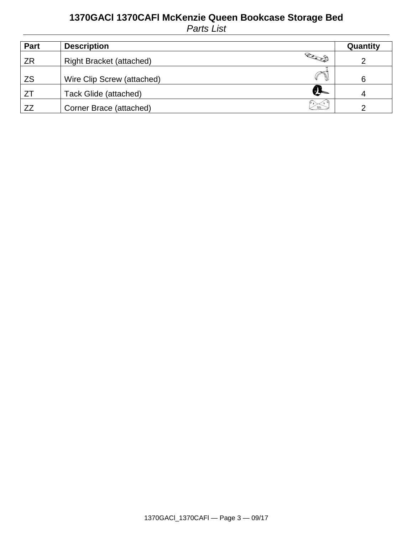#### **1370GACl 1370CAFl McKenzie Queen Bookcase Storage Bed** *Parts List*

| Part      | <b>Description</b>                        | Quantity |
|-----------|-------------------------------------------|----------|
| ZR        | Read 1<br><b>Right Bracket (attached)</b> |          |
| <b>ZS</b> | Wire Clip Screw (attached)                | 6        |
| -ZT       | U<br>Tack Glide (attached)                |          |
| ZZ        | Corner Brace (attached)<br>ෙ මෙ           |          |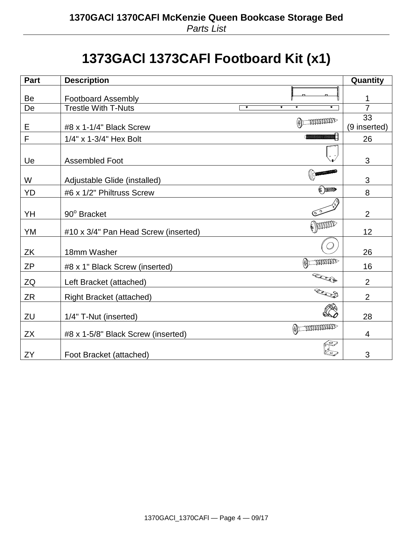## **1373GACl 1373CAFl Footboard Kit (x1)**

| <b>Part</b> | <b>Description</b>                                                              | Quantity           |
|-------------|---------------------------------------------------------------------------------|--------------------|
| Be          | <b>Footboard Assembly</b>                                                       | 1                  |
| De          | <b>Trestle With T-Nuts</b><br>$\overline{\bullet}$<br>$\overline{\bullet}$<br>6 | $\overline{7}$     |
| E           | <b>COMMONDER</b><br>⊕)⊏<br>#8 x 1-1/4" Black Screw                              | 33<br>(9 inserted) |
| F           | 1/4" x 1-3/4" Hex Bolt                                                          | 26                 |
| Ue          | <b>Assembled Foot</b>                                                           | 3                  |
| W           | Adjustable Glide (installed)                                                    | 3                  |
| <b>YD</b>   | <b>&amp; DIDDED</b><br>#6 x 1/2" Philtruss Screw                                | 8                  |
| YH          | 90° Bracket                                                                     | $\overline{2}$     |
| YM          | ( pour<br>#10 x 3/4" Pan Head Screw (inserted)                                  | 12                 |
| ZK          | 18mm Washer                                                                     | 26                 |
| ZΡ          | mmmo<br>$\bigoplus$<br>#8 x 1" Black Screw (inserted)                           | 16                 |
| ZQ          | RECORD<br>Left Bracket (attached)                                               | $\overline{2}$     |
| ZR          | Road<br><b>Right Bracket (attached)</b>                                         | $\overline{2}$     |
| ZU          | 1/4" T-Nut (inserted)                                                           | 28                 |
| <b>ZX</b>   | <b>TODODODODO</b><br>#8 x 1-5/8" Black Screw (inserted)                         | 4                  |
| ZY          | Foot Bracket (attached)                                                         | 3                  |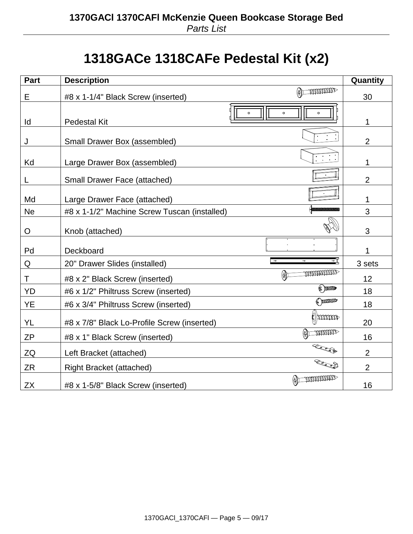### **1318GACe 1318CAFe Pedestal Kit (x2)**

| Part      | <b>Description</b>                                                     | Quantity       |
|-----------|------------------------------------------------------------------------|----------------|
| Е         | $\textcircled{\tiny{+}}$ manamaz<br>#8 x 1-1/4" Black Screw (inserted) | 30             |
| ld        | $\bullet$<br>$\circ$<br>$\circ$<br><b>Pedestal Kit</b>                 | 1              |
| J         | Small Drawer Box (assembled)                                           | $\overline{2}$ |
| Kd        | Large Drawer Box (assembled)                                           | 1              |
| L         | <b>Small Drawer Face (attached)</b>                                    | $\overline{2}$ |
| Md        | Large Drawer Face (attached)                                           | 1              |
| <b>Ne</b> | #8 x 1-1/2" Machine Screw Tuscan (installed)                           | 3              |
| O         | Knob (attached)                                                        | 3              |
| Pd        | Deckboard                                                              | 1              |
| Q         | ग<br>$\overline{0}$<br>20" Drawer Slides (installed)                   | 3 sets         |
| Τ         | mmmmm<br>$\mathbb{A}$<br>#8 x 2" Black Screw (inserted)                | 12             |
| YD        | <b>@DDDD</b><br>#6 x 1/2" Philtruss Screw (inserted)                   | 18             |
| YE        | ( mmm<br>#6 x 3/4" Philtruss Screw (inserted)                          | 18             |
| YL        | <b>Monday</b><br>#8 x 7/8" Black Lo-Profile Screw (inserted)           | 20             |
| <b>ZP</b> | <b>MANARIAN</b><br>$\circledast$<br>#8 x 1" Black Screw (inserted)     | 16             |
| ZQ        | Read<br>Left Bracket (attached)                                        | $\overline{2}$ |
| <b>ZR</b> | Rocco<br><b>Right Bracket (attached)</b>                               | $\overline{2}$ |
| <b>ZX</b> | <b>MANAMANAL</b><br>#8 x 1-5/8" Black Screw (inserted)                 | 16             |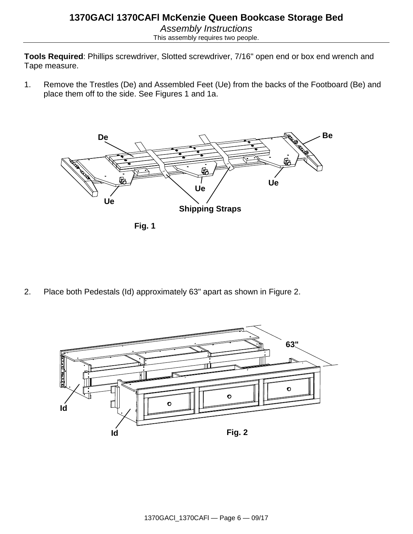**Tools Required**: Phillips screwdriver, Slotted screwdriver, 7/16" open end or box end wrench and Tape measure.

1. Remove the Trestles (De) and Assembled Feet (Ue) from the backs of the Footboard (Be) and place them off to the side. See Figures 1 and 1a.



**Fig. 1**

2. Place both Pedestals (Id) approximately 63" apart as shown in Figure 2.

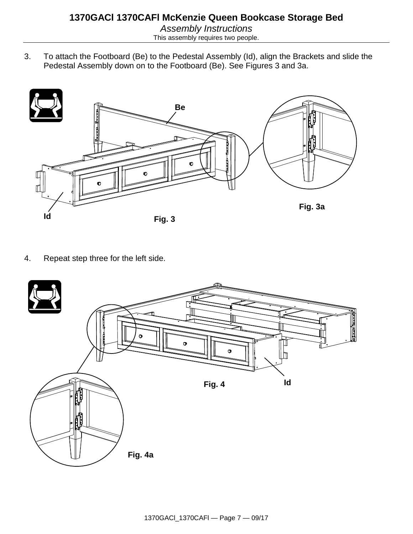3. To attach the Footboard (Be) to the Pedestal Assembly (Id), align the Brackets and slide the Pedestal Assembly down on to the Footboard (Be). See Figures 3 and 3a.



4. Repeat step three for the left side.

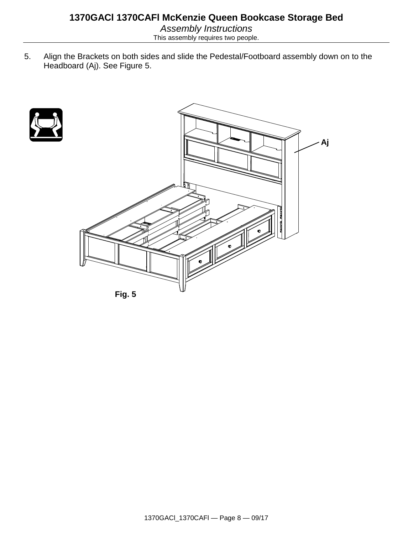5. Align the Brackets on both sides and slide the Pedestal/Footboard assembly down on to the Headboard (Aj). See Figure 5.

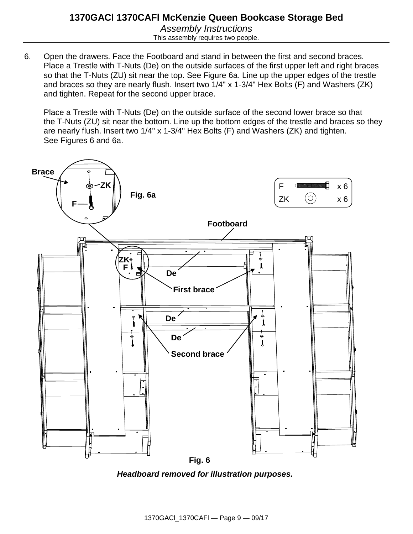6. Open the drawers. Face the Footboard and stand in between the first and second braces. Place a Trestle with T-Nuts (De) on the outside surfaces of the first upper left and right braces so that the T-Nuts (ZU) sit near the top. See Figure 6a. Line up the upper edges of the trestle and braces so they are nearly flush. Insert two 1/4" x 1-3/4" Hex Bolts (F) and Washers (ZK) and tighten. Repeat for the second upper brace.

Place a Trestle with T-Nuts (De) on the outside surface of the second lower brace so that the T-Nuts (ZU) sit near the bottom. Line up the bottom edges of the trestle and braces so they are nearly flush. Insert two 1/4" x 1-3/4" Hex Bolts (F) and Washers (ZK) and tighten. See Figures 6 and 6a.



*Headboard removed for illustration purposes.*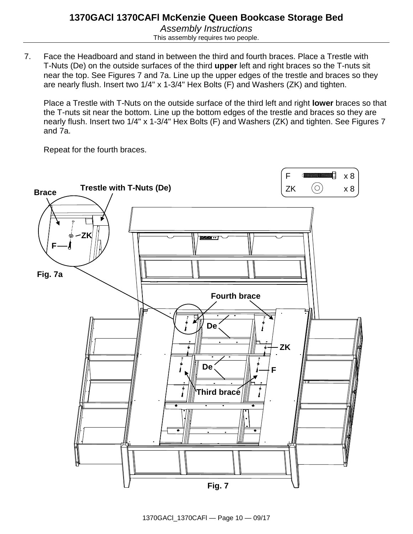7. Face the Headboard and stand in between the third and fourth braces. Place a Trestle with T-Nuts (De) on the outside surfaces of the third **upper** left and right braces so the T-nuts sit near the top. See Figures 7 and 7a. Line up the upper edges of the trestle and braces so they are nearly flush. Insert two 1/4" x 1-3/4" Hex Bolts (F) and Washers (ZK) and tighten.

Place a Trestle with T-Nuts on the outside surface of the third left and right **lower** braces so that the T-nuts sit near the bottom. Line up the bottom edges of the trestle and braces so they are nearly flush. Insert two 1/4" x 1-3/4" Hex Bolts (F) and Washers (ZK) and tighten. See Figures 7 and 7a.

Repeat for the fourth braces.

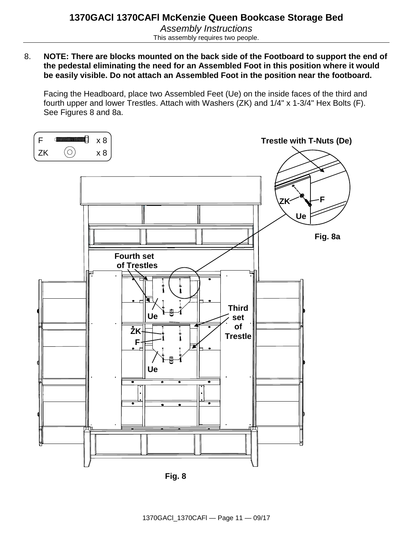8. **NOTE: There are blocks mounted on the back side of the Footboard to support the end of the pedestal eliminating the need for an Assembled Foot in this position where it would be easily visible. Do not attach an Assembled Foot in the position near the footboard.**

Facing the Headboard, place two Assembled Feet (Ue) on the inside faces of the third and fourth upper and lower Trestles. Attach with Washers (ZK) and 1/4" x 1-3/4" Hex Bolts (F). See Figures 8 and 8a.



**Fig. 8**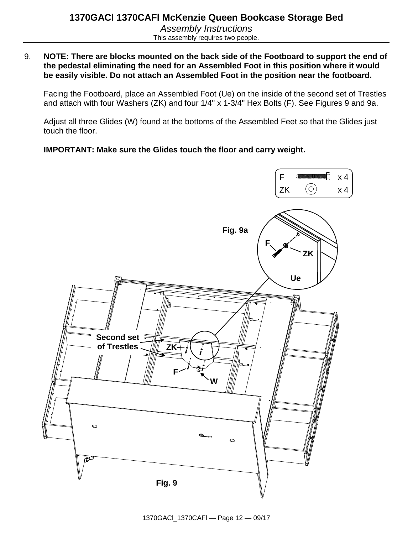9. **NOTE: There are blocks mounted on the back side of the Footboard to support the end of the pedestal eliminating the need for an Assembled Foot in this position where it would be easily visible. Do not attach an Assembled Foot in the position near the footboard.**

Facing the Footboard, place an Assembled Foot (Ue) on the inside of the second set of Trestles and attach with four Washers (ZK) and four 1/4" x 1-3/4" Hex Bolts (F). See Figures 9 and 9a.

Adjust all three Glides (W) found at the bottoms of the Assembled Feet so that the Glides just touch the floor.

**IMPORTANT: Make sure the Glides touch the floor and carry weight.**

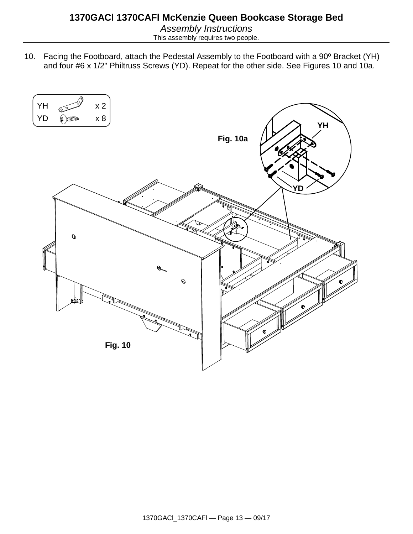10. Facing the Footboard, attach the Pedestal Assembly to the Footboard with a 90º Bracket (YH) and four #6 x 1/2" Philtruss Screws (YD). Repeat for the other side. See Figures 10 and 10a.

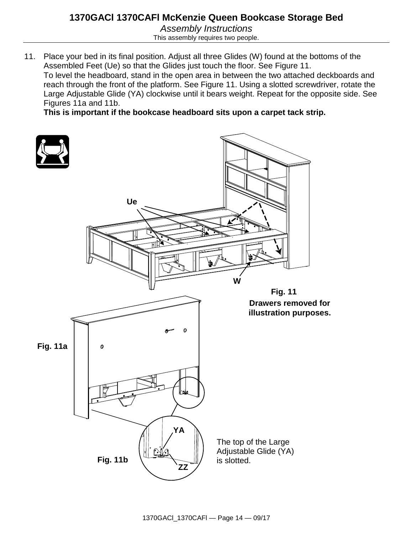This assembly requires two people.

11. Place your bed in its final position. Adjust all three Glides (W) found at the bottoms of the Assembled Feet (Ue) so that the Glides just touch the floor. See Figure 11. To level the headboard, stand in the open area in between the two attached deckboards and reach through the front of the platform. See Figure 11. Using a slotted screwdriver, rotate the Large Adjustable Glide (YA) clockwise until it bears weight. Repeat for the opposite side. See Figures 11a and 11b.

**This is important if the bookcase headboard sits upon a carpet tack strip.**

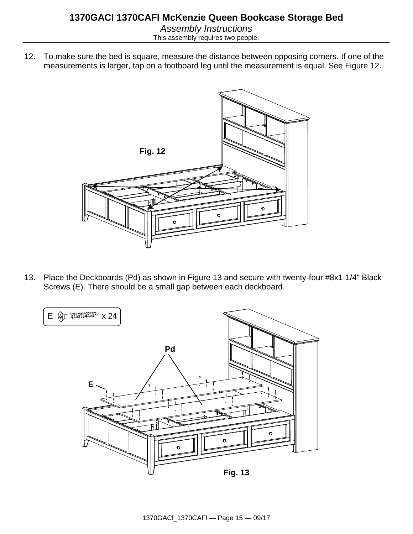This assembly requires two people.

12. To make sure the bed is square, measure the distance between opposing corners. If one of the measurements is larger, tap on a footboard leg until the measurement is equal. See Figure 12.



13. Place the Deckboards (Pd) as shown in Figure 13 and secure with twenty-four #8x1-1/4" Black Screws (E). There should be a small gap between each deckboard.